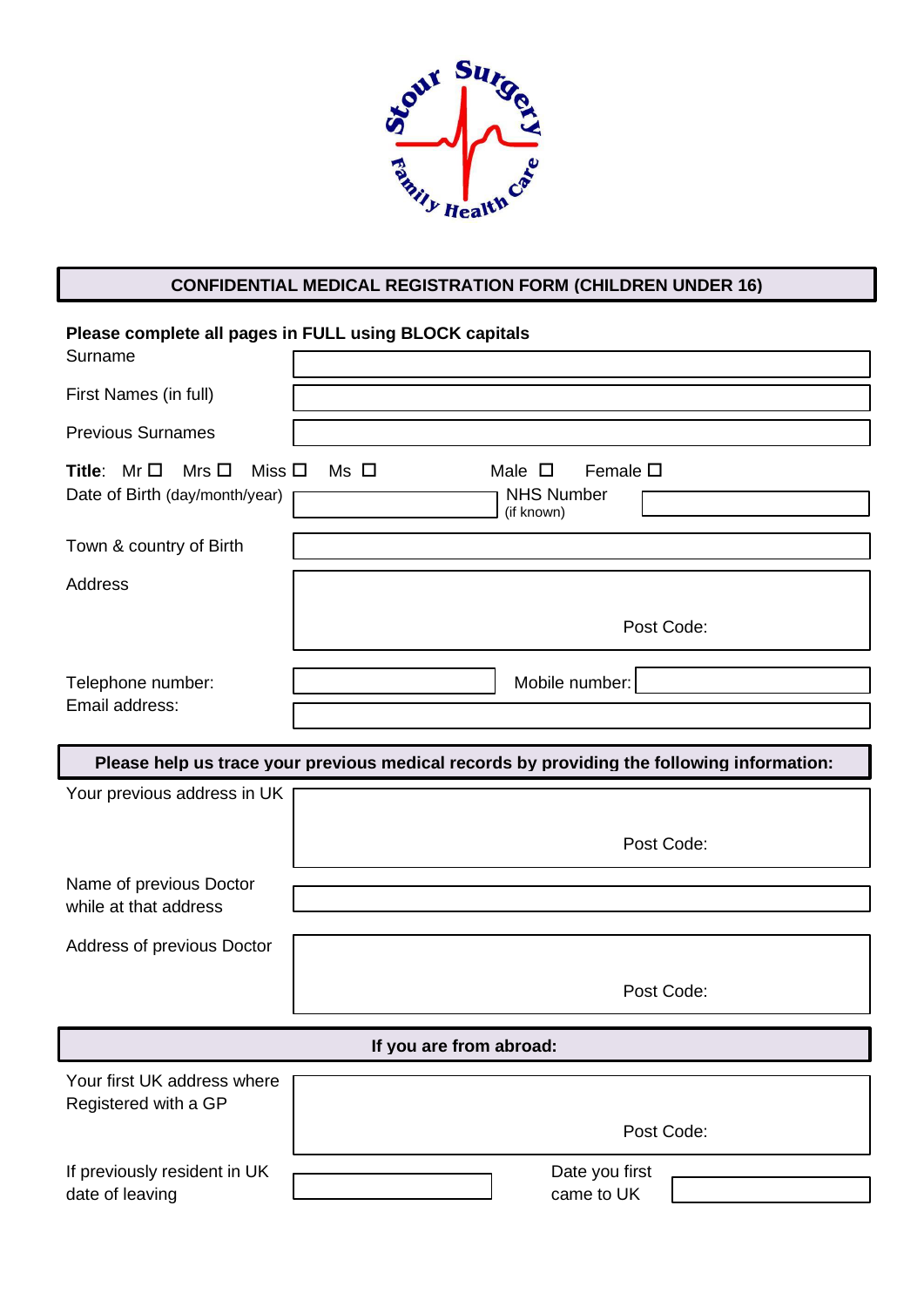

# **CONFIDENTIAL MEDICAL REGISTRATION FORM (CHILDREN UNDER 16)**

| Surname                                                                           | Please complete all pages in FULL using BLOCK capitals                                     |
|-----------------------------------------------------------------------------------|--------------------------------------------------------------------------------------------|
| First Names (in full)                                                             |                                                                                            |
| <b>Previous Surnames</b>                                                          |                                                                                            |
| Miss $\square$<br>Title: $Mr\Box$<br>Mrs $\Box$<br>Date of Birth (day/month/year) | Female $\square$<br>$Ms$ $\square$<br>Male $\square$<br><b>NHS Number</b><br>(if known)    |
| Town & country of Birth                                                           |                                                                                            |
| Address                                                                           |                                                                                            |
|                                                                                   | Post Code:                                                                                 |
| Telephone number:                                                                 | Mobile number:                                                                             |
| Email address:                                                                    |                                                                                            |
|                                                                                   | Please help us trace your previous medical records by providing the following information: |
| Your previous address in UK                                                       |                                                                                            |
|                                                                                   | Post Code:                                                                                 |
| Name of previous Doctor<br>while at that address                                  |                                                                                            |
| Address of previous Doctor                                                        |                                                                                            |
|                                                                                   | Post Code:                                                                                 |
|                                                                                   | If you are from abroad:                                                                    |
| Your first UK address where<br>Registered with a GP                               |                                                                                            |
|                                                                                   | Post Code:                                                                                 |
| If previously resident in UK<br>date of leaving                                   | Date you first<br>came to UK                                                               |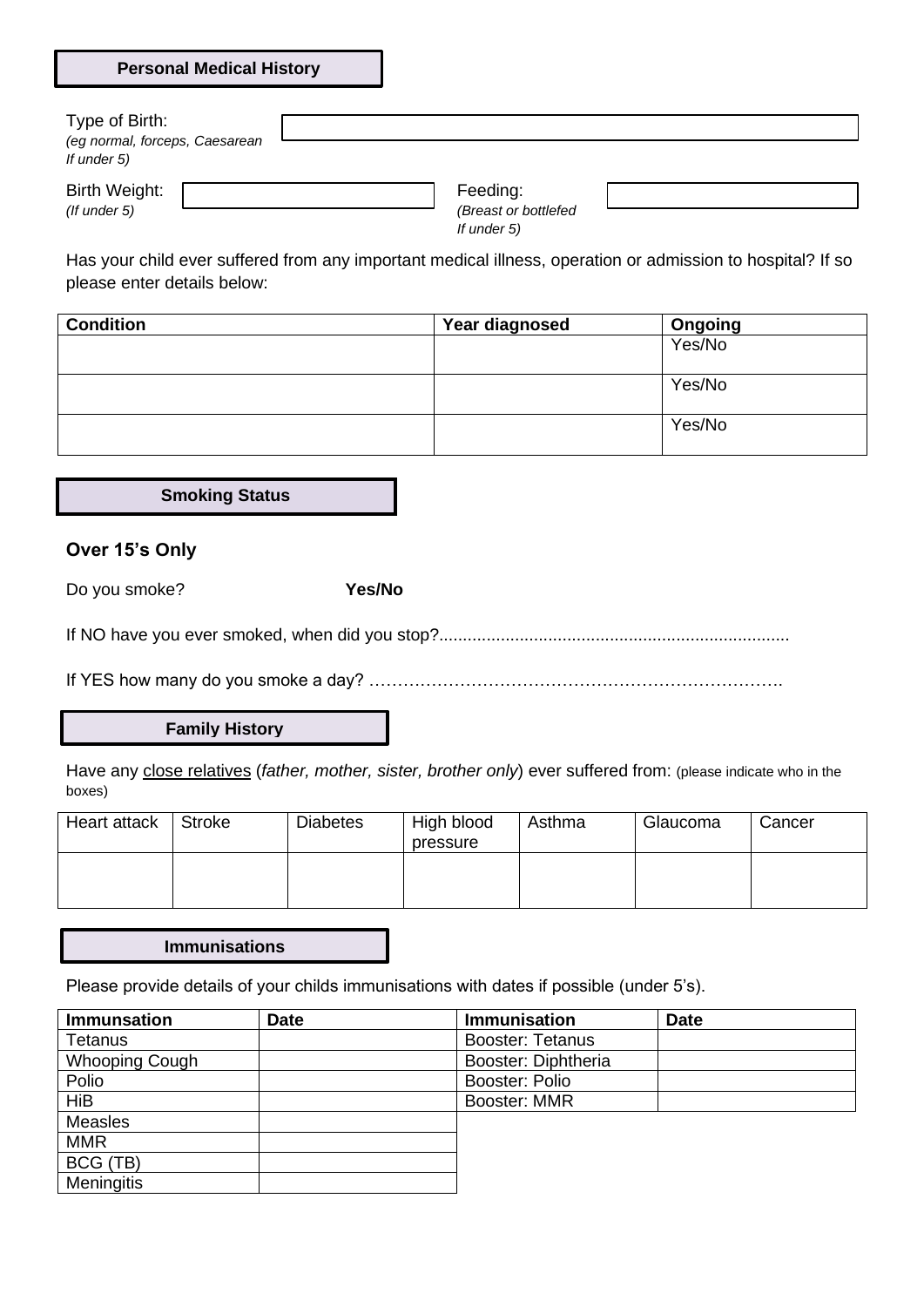| <b>Personal Medical History</b> |  |  |
|---------------------------------|--|--|
|---------------------------------|--|--|

| Type of Birth:<br>(eg normal, forceps, Caesarean<br>If under 5) |  |                                                 |  |
|-----------------------------------------------------------------|--|-------------------------------------------------|--|
| Birth Weight:<br>$($ f under 5 $)$                              |  | Feeding:<br>(Breast or bottlefed<br>If under 5) |  |

Has your child ever suffered from any important medical illness, operation or admission to hospital? If so please enter details below:

| <b>Condition</b> | Year diagnosed | Ongoing |
|------------------|----------------|---------|
|                  |                | Yes/No  |
|                  |                |         |
|                  |                | Yes/No  |
|                  |                |         |
|                  |                | Yes/No  |
|                  |                |         |

**Smoking Status**

## **Over 15's Only**

Do you smoke? **Yes/No**

If NO have you ever smoked, when did you stop?..........................................................................

If YES how many do you smoke a day? ……………………………………………………………….

### **Family History**

Have any close relatives (*father, mother, sister, brother only*) ever suffered from: (please indicate who in the boxes)

| Heart attack | <b>Stroke</b> | <b>Diabetes</b> | High blood<br>pressure | Asthma | Glaucoma | Cancer |
|--------------|---------------|-----------------|------------------------|--------|----------|--------|
|              |               |                 |                        |        |          |        |

#### **Immunisations**

Please provide details of your childs immunisations with dates if possible (under 5's).

| <b>Immunsation</b> | <b>Date</b> | Immunisation            | <b>Date</b> |
|--------------------|-------------|-------------------------|-------------|
| <b>Tetanus</b>     |             | <b>Booster: Tetanus</b> |             |
| Whooping Cough     |             | Booster: Diphtheria     |             |
| Polio              |             | Booster: Polio          |             |
| <b>HiB</b>         |             | <b>Booster: MMR</b>     |             |
| <b>Measles</b>     |             |                         |             |
| <b>MMR</b>         |             |                         |             |
| BCG (TB)           |             |                         |             |
| <b>Meningitis</b>  |             |                         |             |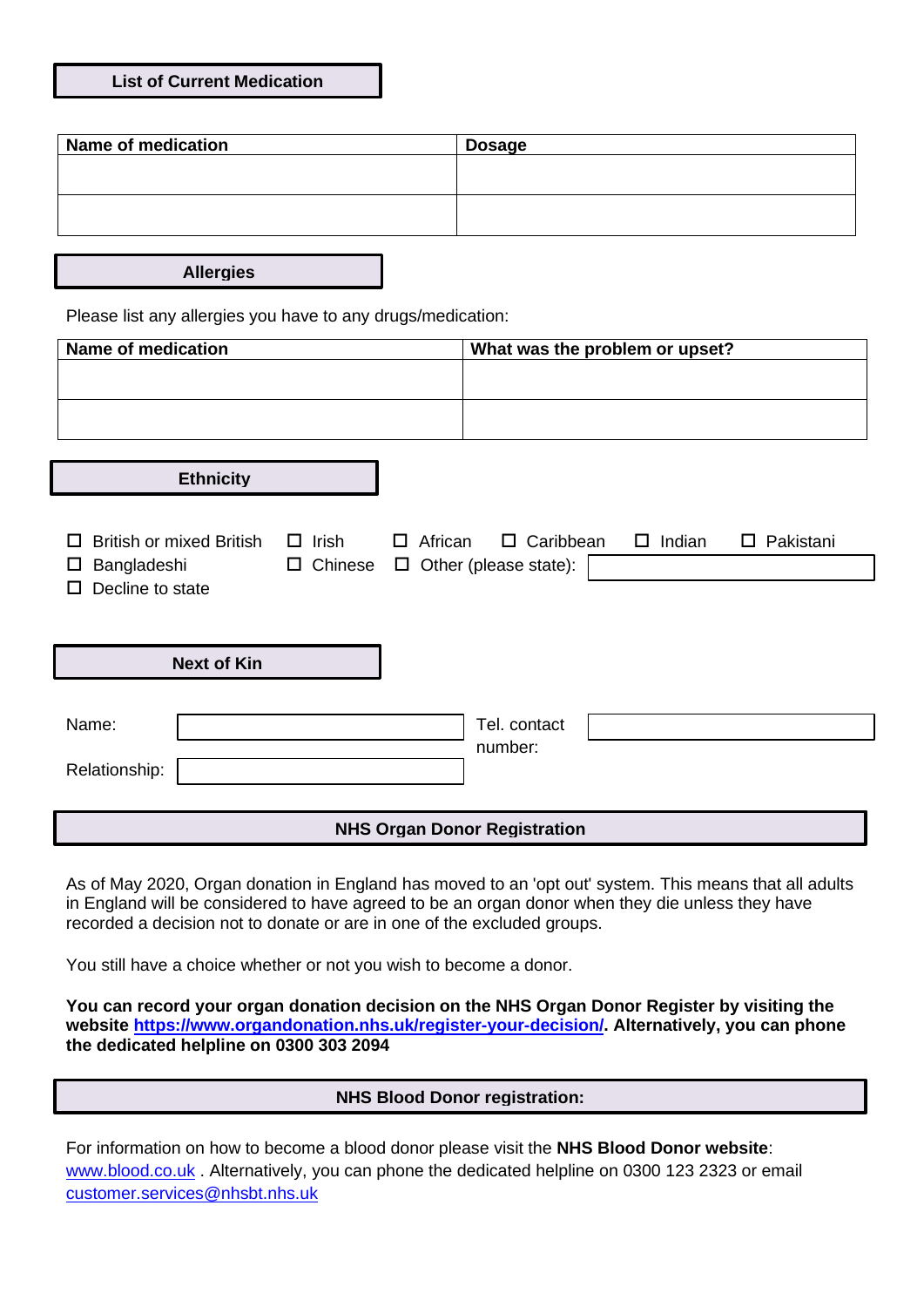| <b>List of Current Medication</b> |  |
|-----------------------------------|--|
|-----------------------------------|--|

| <b>Name of medication</b> | <b>Dosage</b> |
|---------------------------|---------------|
|                           |               |
|                           |               |
|                           |               |
|                           |               |

**Allergies**

Please list any allergies you have to any drugs/medication:

| <b>Name of medication</b><br>What was the problem or upset? |                |                   |                                     |               |                  |
|-------------------------------------------------------------|----------------|-------------------|-------------------------------------|---------------|------------------|
|                                                             |                |                   |                                     |               |                  |
|                                                             |                |                   |                                     |               |                  |
|                                                             |                |                   |                                     |               |                  |
| <b>Ethnicity</b>                                            |                |                   |                                     |               |                  |
|                                                             |                |                   |                                     |               |                  |
| <b>British or mixed British</b><br>Ц                        | $\Box$ Irish   | African<br>$\Box$ | $\Box$ Caribbean                    | $\Box$ Indian | $\Box$ Pakistani |
| Bangladeshi<br>Ц<br>Decline to state                        | $\Box$ Chinese | $\Box$            | Other (please state):               |               |                  |
|                                                             |                |                   |                                     |               |                  |
|                                                             |                |                   |                                     |               |                  |
| <b>Next of Kin</b>                                          |                |                   |                                     |               |                  |
|                                                             |                |                   |                                     |               |                  |
| Name:                                                       |                |                   | Tel. contact                        |               |                  |
| Relationship:                                               |                |                   | number:                             |               |                  |
|                                                             |                |                   |                                     |               |                  |
|                                                             |                |                   | <b>NHS Organ Donor Registration</b> |               |                  |

As of May 2020, Organ donation in England has moved to an 'opt out' system. This means that all adults in England will be considered to have agreed to be an organ donor when they die unless they have recorded a decision not to donate or are in one of the [excluded groups.](https://www.organdonation.nhs.uk/uk-laws/organ-donation-law-in-england/#who)

You still have a choice whether or not you wish to become a donor.

**You can record your organ donation decision on the NHS Organ Donor Register by visiting the website [https://www.organdonation.nhs.uk/register-your-decision/.](https://www.organdonation.nhs.uk/register-your-decision/) Alternatively, you can phone the dedicated helpline on 0300 303 2094**

## **NHS Blood Donor registration:**

For information on how to become a blood donor please visit the **NHS Blood Donor website**: [www.blood.co.uk](http://www.blood.co.uk/)</u>. Alternatively, you can phone the dedicated helpline on 0300 123 2323 or email [customer.services@nhsbt.nhs.uk](mailto:customer.services@nhsbt.nhs.uk)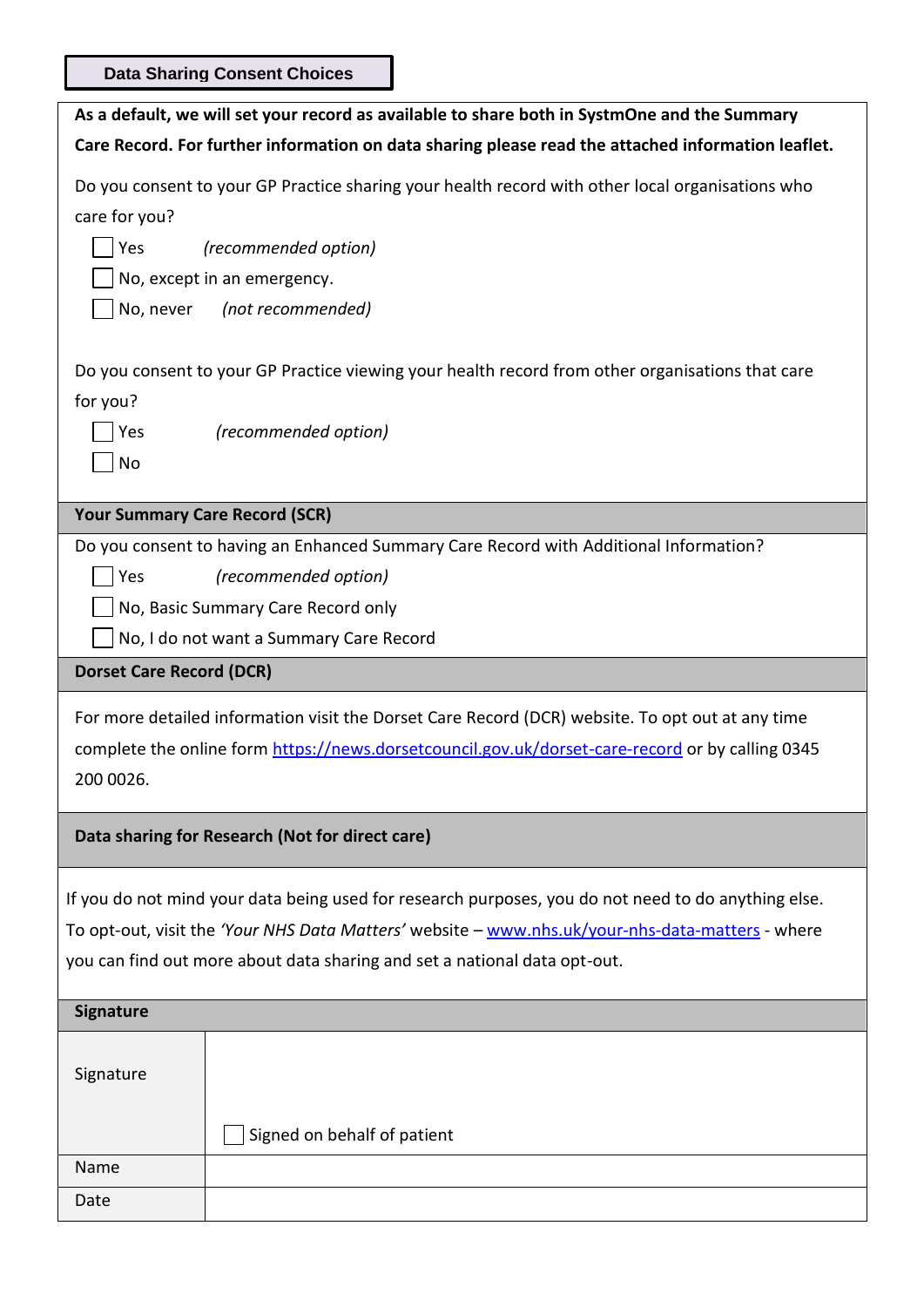**Data Sharing Consent Choices**

|                                       | As a default, we will set your record as available to share both in SystmOne and the Summary                                                                                                                                                                                         |
|---------------------------------------|--------------------------------------------------------------------------------------------------------------------------------------------------------------------------------------------------------------------------------------------------------------------------------------|
|                                       | Care Record. For further information on data sharing please read the attached information leaflet.                                                                                                                                                                                   |
| care for you?<br>Yes<br>No, never     | Do you consent to your GP Practice sharing your health record with other local organisations who<br>(recommended option)<br>No, except in an emergency.<br>(not recommended)                                                                                                         |
| for you?<br>Yes<br>No                 | Do you consent to your GP Practice viewing your health record from other organisations that care<br>(recommended option)                                                                                                                                                             |
| <b>Your Summary Care Record (SCR)</b> |                                                                                                                                                                                                                                                                                      |
| Yes                                   | Do you consent to having an Enhanced Summary Care Record with Additional Information?<br>(recommended option)<br>No, Basic Summary Care Record only<br>No, I do not want a Summary Care Record                                                                                       |
| <b>Dorset Care Record (DCR)</b>       |                                                                                                                                                                                                                                                                                      |
| 200 0026.                             | For more detailed information visit the Dorset Care Record (DCR) website. To opt out at any time<br>complete the online form https://news.dorsetcouncil.gov.uk/dorset-care-record or by calling 0345                                                                                 |
|                                       | Data sharing for Research (Not for direct care)                                                                                                                                                                                                                                      |
|                                       | If you do not mind your data being used for research purposes, you do not need to do anything else.<br>To opt-out, visit the 'Your NHS Data Matters' website - www.nhs.uk/your-nhs-data-matters - where<br>you can find out more about data sharing and set a national data opt-out. |
| <b>Signature</b>                      |                                                                                                                                                                                                                                                                                      |
|                                       |                                                                                                                                                                                                                                                                                      |
| Signature                             | Signed on behalf of patient                                                                                                                                                                                                                                                          |
| Name                                  |                                                                                                                                                                                                                                                                                      |